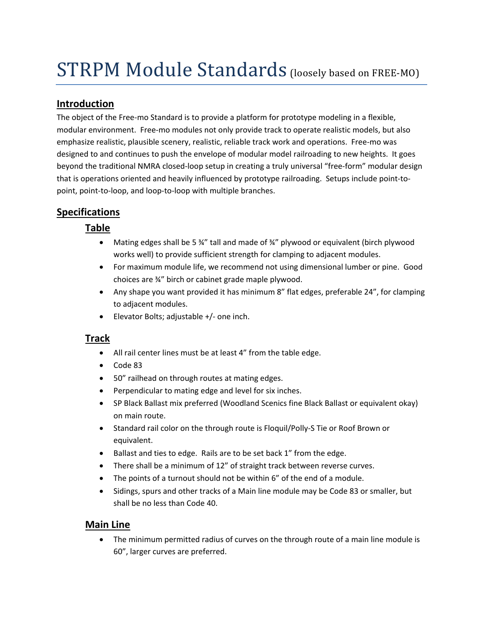# STRPM Module Standards (loosely based on FREE-MO)

## **Introduction**

The object of the Free-mo Standard is to provide a platform for prototype modeling in a flexible, modular environment. Free-mo modules not only provide track to operate realistic models, but also emphasize realistic, plausible scenery, realistic, reliable track work and operations. Free-mo was designed to and continues to push the envelope of modular model railroading to new heights. It goes beyond the traditional NMRA closed-loop setup in creating a truly universal "free-form" modular design that is operations oriented and heavily influenced by prototype railroading. Setups include point-topoint, point-to-loop, and loop-to-loop with multiple branches.

# **Specifications**

#### **Table**

- Mating edges shall be 5 34" tall and made of 34" plywood or equivalent (birch plywood works well) to provide sufficient strength for clamping to adjacent modules.
- For maximum module life, we recommend not using dimensional lumber or pine. Good choices are ¾" birch or cabinet grade maple plywood.
- Any shape you want provided it has minimum 8" flat edges, preferable 24", for clamping to adjacent modules.
- Elevator Bolts; adjustable +/- one inch.

#### **Track**

- All rail center lines must be at least 4" from the table edge.
- Code 83
- 50" railhead on through routes at mating edges.
- Perpendicular to mating edge and level for six inches.
- SP Black Ballast mix preferred (Woodland Scenics fine Black Ballast or equivalent okay) on main route.
- Standard rail color on the through route is Floquil/Polly-S Tie or Roof Brown or equivalent.
- Ballast and ties to edge. Rails are to be set back 1" from the edge.
- There shall be a minimum of 12" of straight track between reverse curves.
- The points of a turnout should not be within 6" of the end of a module.
- Sidings, spurs and other tracks of a Main line module may be Code 83 or smaller, but shall be no less than Code 40.

#### **Main Line**

• The minimum permitted radius of curves on the through route of a main line module is 60", larger curves are preferred.